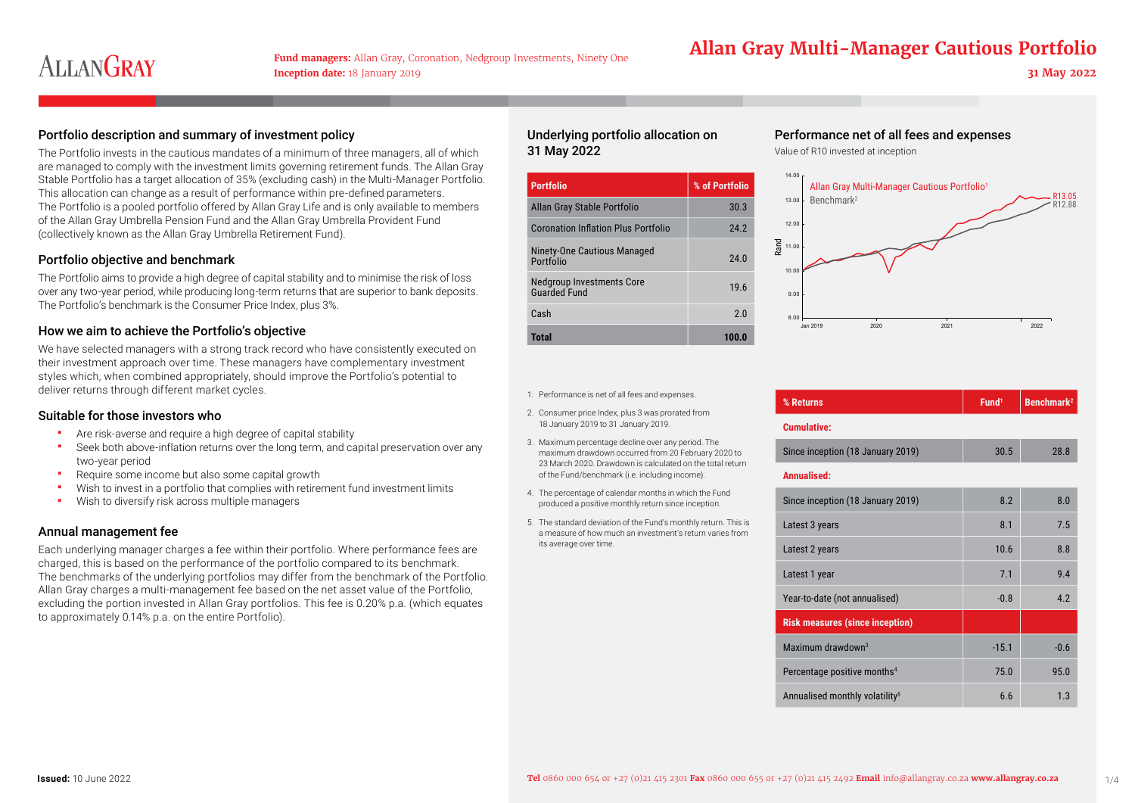## **Allan Gray Multi-Managers: Allan Gray, Coronation, Nedgroup Investments, Ninety One Allan Gray Multi-Manager Cautious Portfolio**

## Portfolio description and summary of investment policy

The Portfolio invests in the cautious mandates of a minimum of three managers, all of which are managed to comply with the investment limits governing retirement funds. The Allan Gray Stable Portfolio has a target allocation of 35% (excluding cash) in the Multi-Manager Portfolio. This allocation can change as a result of performance within pre-defined parameters. The Portfolio is a pooled portfolio offered by Allan Gray Life and is only available to members of the Allan Gray Umbrella Pension Fund and the Allan Gray Umbrella Provident Fund (collectively known as the Allan Gray Umbrella Retirement Fund).

### Portfolio objective and benchmark

The Portfolio aims to provide a high degree of capital stability and to minimise the risk of loss over any two-year period, while producing long-term returns that are superior to bank deposits. The Portfolio's benchmark is the Consumer Price Index, plus 3%.

### How we aim to achieve the Portfolio's objective

We have selected managers with a strong track record who have consistently executed on their investment approach over time. These managers have complementary investment styles which, when combined appropriately, should improve the Portfolio's potential to deliver returns through different market cycles.

### Suitable for those investors who

- Are risk-averse and require a high degree of capital stability
- Seek both above-inflation returns over the long term, and capital preservation over any two-year period
- Require some income but also some capital growth
- Wish to invest in a portfolio that complies with retirement fund investment limits
- **Wish to diversify risk across multiple managers**

## Annual management fee

Each underlying manager charges a fee within their portfolio. Where performance fees are charged, this is based on the performance of the portfolio compared to its benchmark. The benchmarks of the underlying portfolios may differ from the benchmark of the Portfolio. Allan Gray charges a multi-management fee based on the net asset value of the Portfolio, excluding the portion invested in Allan Gray portfolios. This fee is 0.20% p.a. (which equates to approximately 0.14% p.a. on the entire Portfolio).

## Underlying portfolio allocation on 31 May 2022

| <b>Portfolio</b>                                 | % of Portfolio |
|--------------------------------------------------|----------------|
| Allan Gray Stable Portfolio                      | 30.3           |
| <b>Coronation Inflation Plus Portfolio</b>       | 24.2           |
| Ninety-One Cautious Managed<br>Portfolio         | 24.0           |
| Nedgroup Investments Core<br><b>Guarded Fund</b> | 19.6           |
| Cash                                             | 2.0            |
| <b>Total</b>                                     | 100.0          |

## Performance net of all fees and expenses

Value of R10 invested at inception



|  | 1. Performance is net of all fees and expenses.                                                                                                                                                                         | % Returns                                  | Fund <sup>1</sup> | Benchmark <sup>2</sup> |  |
|--|-------------------------------------------------------------------------------------------------------------------------------------------------------------------------------------------------------------------------|--------------------------------------------|-------------------|------------------------|--|
|  | 2. Consumer price Index, plus 3 was prorated from<br>18 January 2019 to 31 January 2019.                                                                                                                                | <b>Cumulative:</b>                         |                   |                        |  |
|  | 3. Maximum percentage decline over any period. The<br>maximum drawdown occurred from 20 February 2020 to<br>23 March 2020. Drawdown is calculated on the total return<br>of the Fund/benchmark (i.e. including income). | Since inception (18 January 2019)          | 30.5              | 28.8                   |  |
|  |                                                                                                                                                                                                                         | Annualised:                                |                   |                        |  |
|  | 4. The percentage of calendar months in which the Fund<br>produced a positive monthly return since inception.                                                                                                           | Since inception (18 January 2019)          | 8.2               | 8.0                    |  |
|  | 5. The standard deviation of the Fund's monthly return. This is<br>a measure of how much an investment's return varies from<br>its average over time.                                                                   | Latest 3 years                             | 8.1               | 7.5                    |  |
|  |                                                                                                                                                                                                                         | Latest 2 years                             | 10.6              | 8.8                    |  |
|  |                                                                                                                                                                                                                         | Latest 1 year                              | 7.1               | 9.4                    |  |
|  |                                                                                                                                                                                                                         | Year-to-date (not annualised)              | $-0.8$            | 4.2                    |  |
|  |                                                                                                                                                                                                                         | <b>Risk measures (since inception)</b>     |                   |                        |  |
|  |                                                                                                                                                                                                                         | Maximum drawdown <sup>3</sup>              | $-15.1$           | $-0.6$                 |  |
|  |                                                                                                                                                                                                                         | Percentage positive months <sup>4</sup>    | 75.0              | 95.0                   |  |
|  |                                                                                                                                                                                                                         | Annualised monthly volatility <sup>5</sup> | 6.6               | 1.3                    |  |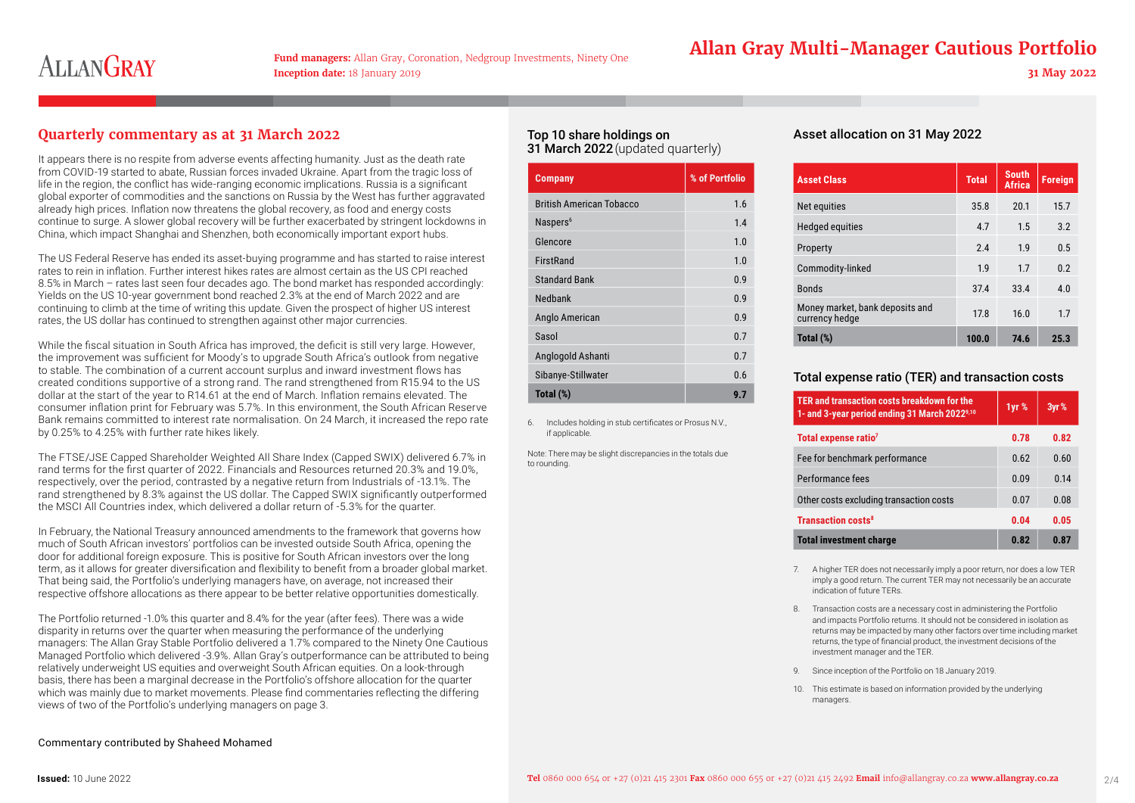**Inception date:** 18 January 2019 **31 May 2022**

## **Allan Gray Multi-Managers: Allan Gray, Coronation, Nedgroup Investments, Ninety One Allan Gray Multi-Manager Cautious Portfolio**

## **Quarterly commentary as at 31 March 2022**

It appears there is no respite from adverse events affecting humanity. Just as the death rate from COVID-19 started to abate, Russian forces invaded Ukraine. Apart from the tragic loss of life in the region, the conflict has wide-ranging economic implications. Russia is a significant global exporter of commodities and the sanctions on Russia by the West has further aggravated already high prices. Inflation now threatens the global recovery, as food and energy costs continue to surge. A slower global recovery will be further exacerbated by stringent lockdowns in China, which impact Shanghai and Shenzhen, both economically important export hubs.

The US Federal Reserve has ended its asset-buying programme and has started to raise interest rates to rein in inflation. Further interest hikes rates are almost certain as the US CPI reached 8.5% in March – rates last seen four decades ago. The bond market has responded accordingly: Yields on the US 10-year government bond reached 2.3% at the end of March 2022 and are continuing to climb at the time of writing this update. Given the prospect of higher US interest rates, the US dollar has continued to strengthen against other major currencies.

While the fiscal situation in South Africa has improved, the deficit is still very large. However, the improvement was sufficient for Moody's to upgrade South Africa's outlook from negative to stable. The combination of a current account surplus and inward investment flows has created conditions supportive of a strong rand. The rand strengthened from R15.94 to the US dollar at the start of the year to R14.61 at the end of March. Inflation remains elevated. The consumer inflation print for February was 5.7%. In this environment, the South African Reserve Bank remains committed to interest rate normalisation. On 24 March, it increased the repo rate by 0.25% to 4.25% with further rate hikes likely.

The FTSE/JSE Capped Shareholder Weighted All Share Index (Capped SWIX) delivered 6.7% in rand terms for the first quarter of 2022. Financials and Resources returned 20.3% and 19.0%, respectively, over the period, contrasted by a negative return from Industrials of -13.1%. The rand strengthened by 8.3% against the US dollar. The Capped SWIX significantly outperformed the MSCI All Countries index, which delivered a dollar return of -5.3% for the quarter.

In February, the National Treasury announced amendments to the framework that governs how much of South African investors' portfolios can be invested outside South Africa, opening the door for additional foreign exposure. This is positive for South African investors over the long term, as it allows for greater diversification and flexibility to benefit from a broader global market. That being said, the Portfolio's underlying managers have, on average, not increased their respective offshore allocations as there appear to be better relative opportunities domestically.

The Portfolio returned -1.0% this quarter and 8.4% for the year (after fees). There was a wide disparity in returns over the quarter when measuring the performance of the underlying managers: The Allan Gray Stable Portfolio delivered a 1.7% compared to the Ninety One Cautious Managed Portfolio which delivered -3.9%. Allan Gray's outperformance can be attributed to being relatively underweight US equities and overweight South African equities. On a look-through basis, there has been a marginal decrease in the Portfolio's offshore allocation for the quarter which was mainly due to market movements. Please find commentaries reflecting the differing views of two of the Portfolio's underlying managers on page 3.

## Top 10 share holdings on 31 March 2022 (updated quarterly)

| <b>Company</b>                  | % of Portfolio |
|---------------------------------|----------------|
| <b>British American Tobacco</b> | 1.6            |
| Naspers <sup>6</sup>            | 1.4            |
| Glencore                        | 1.0            |
| FirstRand                       | 1.0            |
| <b>Standard Bank</b>            | 0.9            |
| Nedbank                         | 0.9            |
| Anglo American                  | 0.9            |
| Sasol                           | 0.7            |
| Anglogold Ashanti               | 0.7            |
| Sibanye-Stillwater              | 0.6            |
| Total (%)                       | 9.7            |
|                                 |                |

6. Includes holding in stub certificates or Prosus N.V., if applicable.

Note: There may be slight discrepancies in the totals due to rounding.

## Asset allocation on 31 May 2022

| <b>Asset Class</b>                                | <b>Total</b> | <b>South</b><br><b>Africa</b> | <b>Foreign</b> |
|---------------------------------------------------|--------------|-------------------------------|----------------|
| Net equities                                      | 35.8         | 20.1                          | 15.7           |
| <b>Hedged equities</b>                            | 4.7          | 1.5                           | 3.2            |
| Property                                          | 24           | 1.9                           | 0.5            |
| Commodity-linked                                  | 1.9          | 1.7                           | 0.2            |
| <b>Bonds</b>                                      | 37.4         | 33.4                          | 4.0            |
| Money market, bank deposits and<br>currency hedge | 17.8         | 16.0                          | 1.7            |
| Total (%)                                         | 100.0        | 74.6                          | 25.3           |

## Total expense ratio (TER) and transaction costs

| TER and transaction costs breakdown for the<br>1- and 3-year period ending 31 March 2022 <sup>9,10</sup> | 1yr % | 3yr% |
|----------------------------------------------------------------------------------------------------------|-------|------|
| Total expense ratio <sup>7</sup>                                                                         | 0.78  | 0.82 |
| Fee for benchmark performance                                                                            | 0.62  | 0.60 |
| Performance fees                                                                                         | 0.09  | 0.14 |
| Other costs excluding transaction costs                                                                  | 0.07  | 0.08 |
| <b>Transaction costs<sup>8</sup></b>                                                                     | 0.04  | 0.05 |
| <b>Total investment charge</b>                                                                           | 0.82  | 0.87 |

7. A higher TER does not necessarily imply a poor return, nor does a low TER imply a good return. The current TER may not necessarily be an accurate indication of future TERs.

- 8. Transaction costs are a necessary cost in administering the Portfolio and impacts Portfolio returns. It should not be considered in isolation as returns may be impacted by many other factors over time including market returns, the type of financial product, the investment decisions of the investment manager and the TER.
- 9. Since inception of the Portfolio on 18 January 2019.
- 10. This estimate is based on information provided by the underlying managers.

#### Commentary contributed by Shaheed Mohamed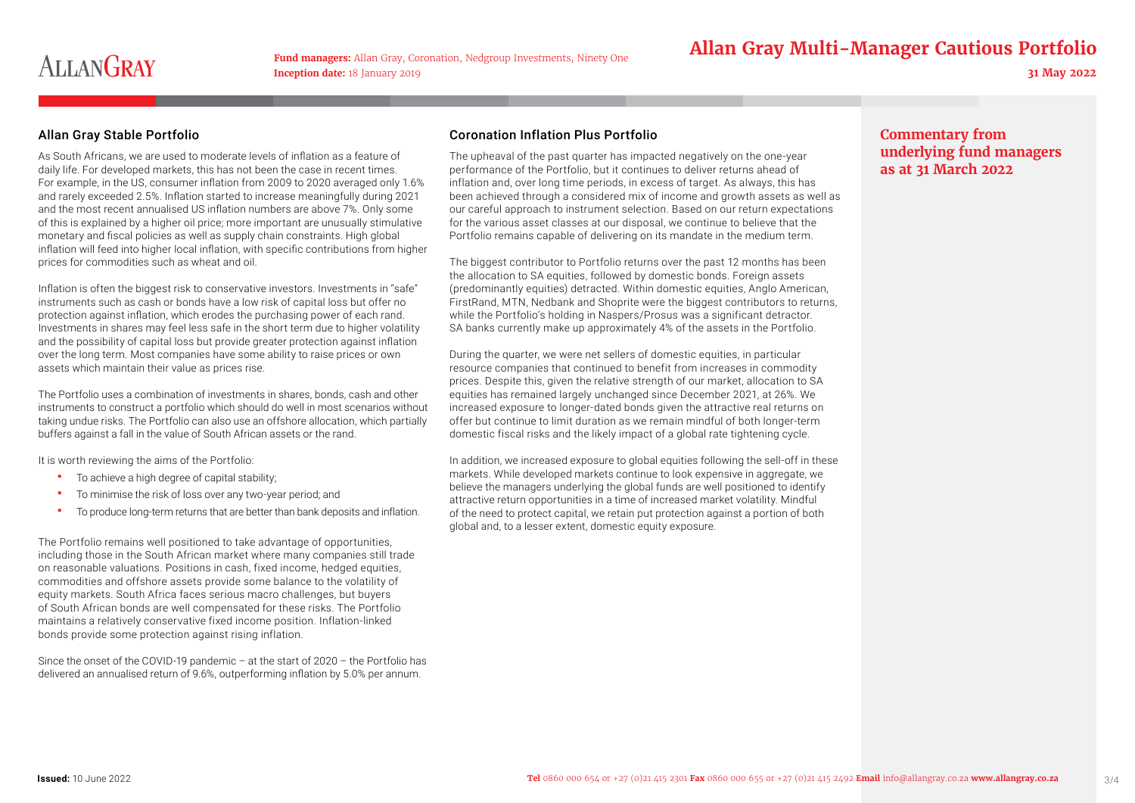## **Allan Gray Multi-Managers: Allan Gray, Coronation, Nedgroup Investments, Ninety One Allan Gray Multi-Manager Cautious Portfolio**

## Allan Gray Stable Portfolio

As South Africans, we are used to moderate levels of inflation as a feature of daily life. For developed markets, this has not been the case in recent times. For example, in the US, consumer inflation from 2009 to 2020 averaged only 1.6% and rarely exceeded 2.5%. Inflation started to increase meaningfully during 2021 and the most recent annualised US inflation numbers are above 7%. Only some of this is explained by a higher oil price; more important are unusually stimulative monetary and fiscal policies as well as supply chain constraints. High global inflation will feed into higher local inflation, with specific contributions from higher prices for commodities such as wheat and oil.

Inflation is often the biggest risk to conservative investors. Investments in "safe" instruments such as cash or bonds have a low risk of capital loss but offer no protection against inflation, which erodes the purchasing power of each rand. Investments in shares may feel less safe in the short term due to higher volatility and the possibility of capital loss but provide greater protection against inflation over the long term. Most companies have some ability to raise prices or own assets which maintain their value as prices rise.

The Portfolio uses a combination of investments in shares, bonds, cash and other instruments to construct a portfolio which should do well in most scenarios without taking undue risks. The Portfolio can also use an offshore allocation, which partially buffers against a fall in the value of South African assets or the rand.

It is worth reviewing the aims of the Portfolio:

- To achieve a high degree of capital stability;
- To minimise the risk of loss over any two-year period; and
- To produce long-term returns that are better than bank deposits and inflation.

The Portfolio remains well positioned to take advantage of opportunities, including those in the South African market where many companies still trade on reasonable valuations. Positions in cash, fixed income, hedged equities, commodities and offshore assets provide some balance to the volatility of equity markets. South Africa faces serious macro challenges, but buyers of South African bonds are well compensated for these risks. The Portfolio maintains a relatively conservative fixed income position. Inflation-linked bonds provide some protection against rising inflation.

Since the onset of the COVID-19 pandemic – at the start of 2020 – the Portfolio has delivered an annualised return of 9.6%, outperforming inflation by 5.0% per annum.

## Coronation Inflation Plus Portfolio

The upheaval of the past quarter has impacted negatively on the one-year performance of the Portfolio, but it continues to deliver returns ahead of inflation and, over long time periods, in excess of target. As always, this has been achieved through a considered mix of income and growth assets as well as our careful approach to instrument selection. Based on our return expectations for the various asset classes at our disposal, we continue to believe that the Portfolio remains capable of delivering on its mandate in the medium term.

The biggest contributor to Portfolio returns over the past 12 months has been the allocation to SA equities, followed by domestic bonds. Foreign assets (predominantly equities) detracted. Within domestic equities, Anglo American, FirstRand, MTN, Nedbank and Shoprite were the biggest contributors to returns, while the Portfolio's holding in Naspers/Prosus was a significant detractor. SA banks currently make up approximately 4% of the assets in the Portfolio.

During the quarter, we were net sellers of domestic equities, in particular resource companies that continued to benefit from increases in commodity prices. Despite this, given the relative strength of our market, allocation to SA equities has remained largely unchanged since December 2021, at 26%. We increased exposure to longer-dated bonds given the attractive real returns on offer but continue to limit duration as we remain mindful of both longer-term domestic fiscal risks and the likely impact of a global rate tightening cycle.

In addition, we increased exposure to global equities following the sell-off in these markets. While developed markets continue to look expensive in aggregate, we believe the managers underlying the global funds are well positioned to identify attractive return opportunities in a time of increased market volatility. Mindful of the need to protect capital, we retain put protection against a portion of both global and, to a lesser extent, domestic equity exposure.

## **Commentary from underlying fund managers as at 31 March 2022**